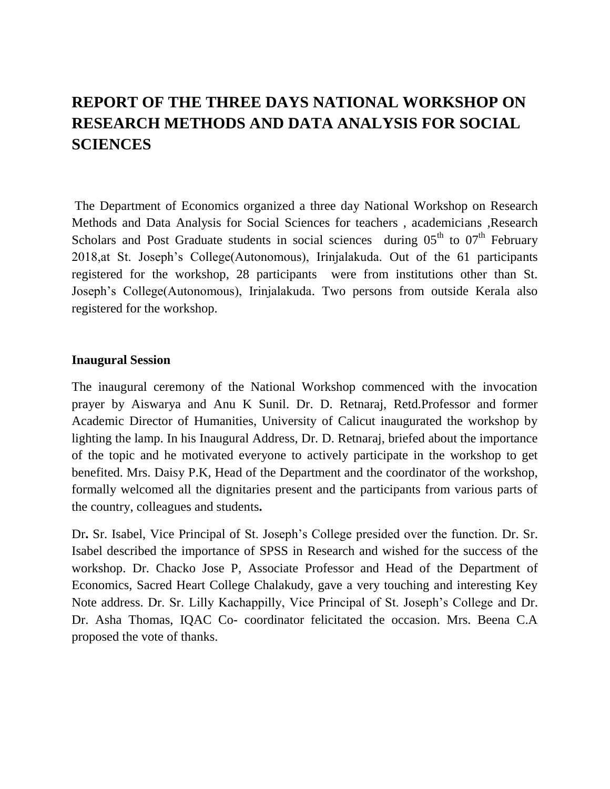# **REPORT OF THE THREE DAYS NATIONAL WORKSHOP ON RESEARCH METHODS AND DATA ANALYSIS FOR SOCIAL SCIENCES**

The Department of Economics organized a three day National Workshop on Research Methods and Data Analysis for Social Sciences for teachers , academicians ,Research Scholars and Post Graduate students in social sciences during  $05<sup>th</sup>$  to  $07<sup>th</sup>$  February 2018,at St. Joseph's College(Autonomous), Irinjalakuda. Out of the 61 participants registered for the workshop, 28 participants were from institutions other than St. Joseph's College(Autonomous), Irinjalakuda. Two persons from outside Kerala also registered for the workshop.

## **Inaugural Session**

The inaugural ceremony of the National Workshop commenced with the invocation prayer by Aiswarya and Anu K Sunil. Dr. D. Retnaraj, Retd.Professor and former Academic Director of Humanities, University of Calicut inaugurated the workshop by lighting the lamp. In his Inaugural Address, Dr. D. Retnaraj, briefed about the importance of the topic and he motivated everyone to actively participate in the workshop to get benefited. Mrs. Daisy P.K, Head of the Department and the coordinator of the workshop, formally welcomed all the dignitaries present and the participants from various parts of the country, colleagues and students**.**

Dr**.** Sr. Isabel, Vice Principal of St. Joseph's College presided over the function. Dr. Sr. Isabel described the importance of SPSS in Research and wished for the success of the workshop. Dr. Chacko Jose P, Associate Professor and Head of the Department of Economics, Sacred Heart College Chalakudy, gave a very touching and interesting Key Note address. Dr. Sr. Lilly Kachappilly, Vice Principal of St. Joseph's College and Dr. Dr. Asha Thomas, IQAC Co- coordinator felicitated the occasion. Mrs. Beena C.A proposed the vote of thanks.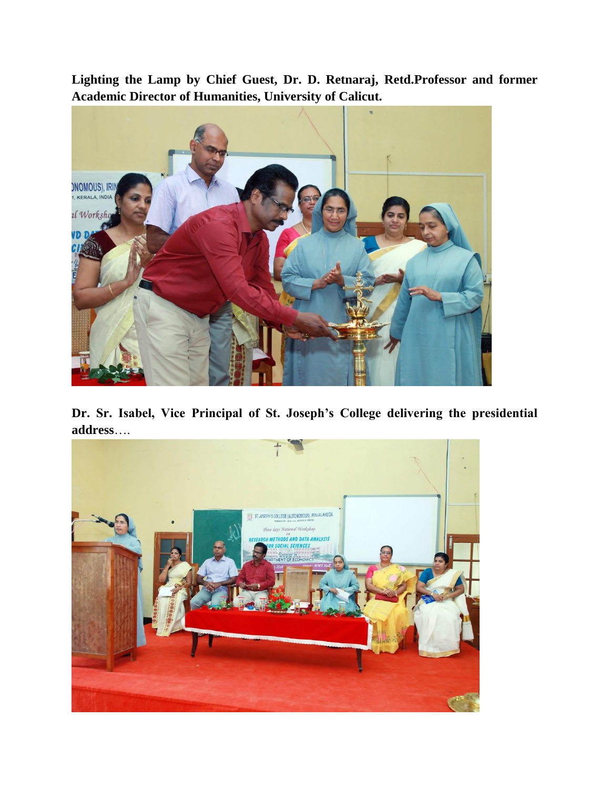**Lighting the Lamp by Chief Guest, Dr. D. Retnaraj, Retd.Professor and former Academic Director of Humanities, University of Calicut.**



**Dr. Sr. Isabel, Vice Principal of St. Joseph's College delivering the presidential address**….

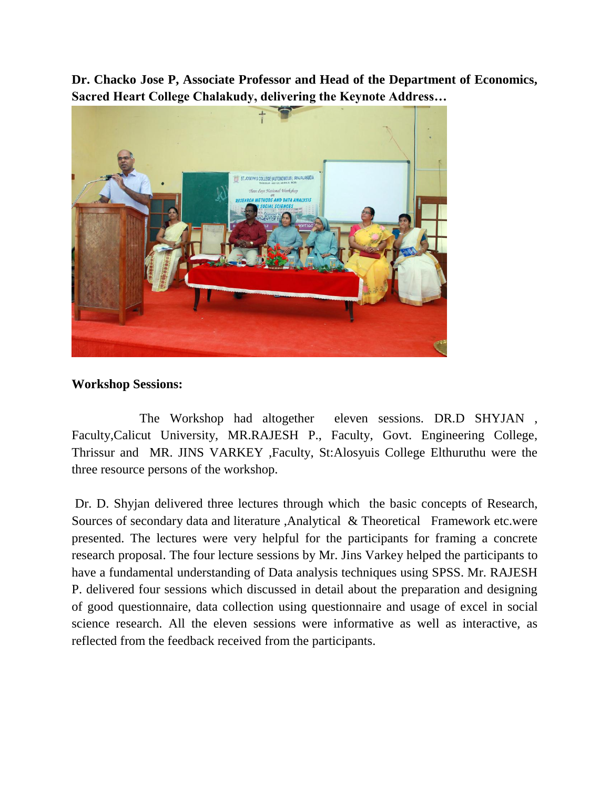**Dr. Chacko Jose P, Associate Professor and Head of the Department of Economics, Sacred Heart College Chalakudy, delivering the Keynote Address…**



# **Workshop Sessions:**

 The Workshop had altogether eleven sessions. DR.D SHYJAN , Faculty,Calicut University, MR.RAJESH P., Faculty, Govt. Engineering College, Thrissur and MR. JINS VARKEY ,Faculty, St:Alosyuis College Elthuruthu were the three resource persons of the workshop.

Dr. D. Shyjan delivered three lectures through which the basic concepts of Research, Sources of secondary data and literature ,Analytical & Theoretical Framework etc.were presented. The lectures were very helpful for the participants for framing a concrete research proposal. The four lecture sessions by Mr. Jins Varkey helped the participants to have a fundamental understanding of Data analysis techniques using SPSS. Mr. RAJESH P. delivered four sessions which discussed in detail about the preparation and designing of good questionnaire, data collection using questionnaire and usage of excel in social science research. All the eleven sessions were informative as well as interactive, as reflected from the feedback received from the participants.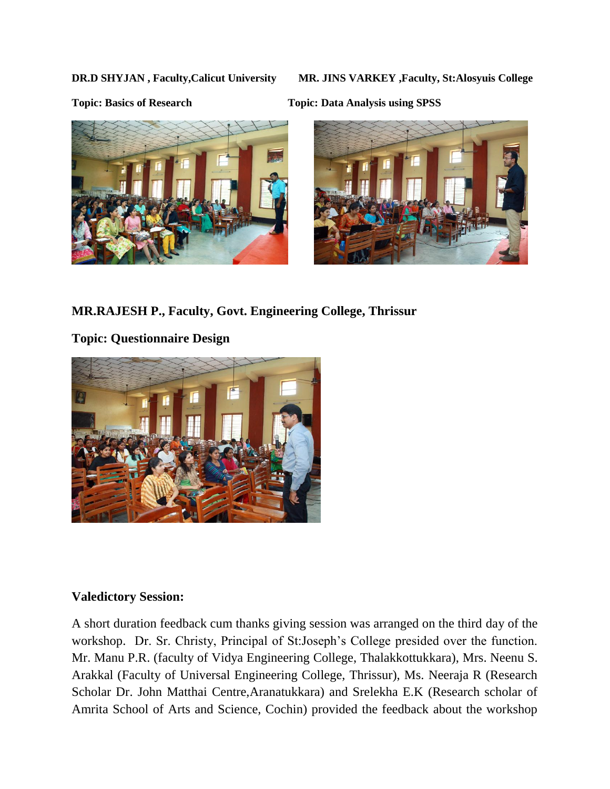**DR.D SHYJAN , Faculty,Calicut University MR. JINS VARKEY ,Faculty, St:Alosyuis College**







**MR.RAJESH P., Faculty, Govt. Engineering College, Thrissur**

**Topic: Questionnaire Design**



## **Valedictory Session:**

A short duration feedback cum thanks giving session was arranged on the third day of the workshop. Dr. Sr. Christy, Principal of St:Joseph's College presided over the function. Mr. Manu P.R. (faculty of Vidya Engineering College, Thalakkottukkara), Mrs. Neenu S. Arakkal (Faculty of Universal Engineering College, Thrissur), Ms. Neeraja R (Research Scholar Dr. John Matthai Centre,Aranatukkara) and Srelekha E.K (Research scholar of Amrita School of Arts and Science, Cochin) provided the feedback about the workshop